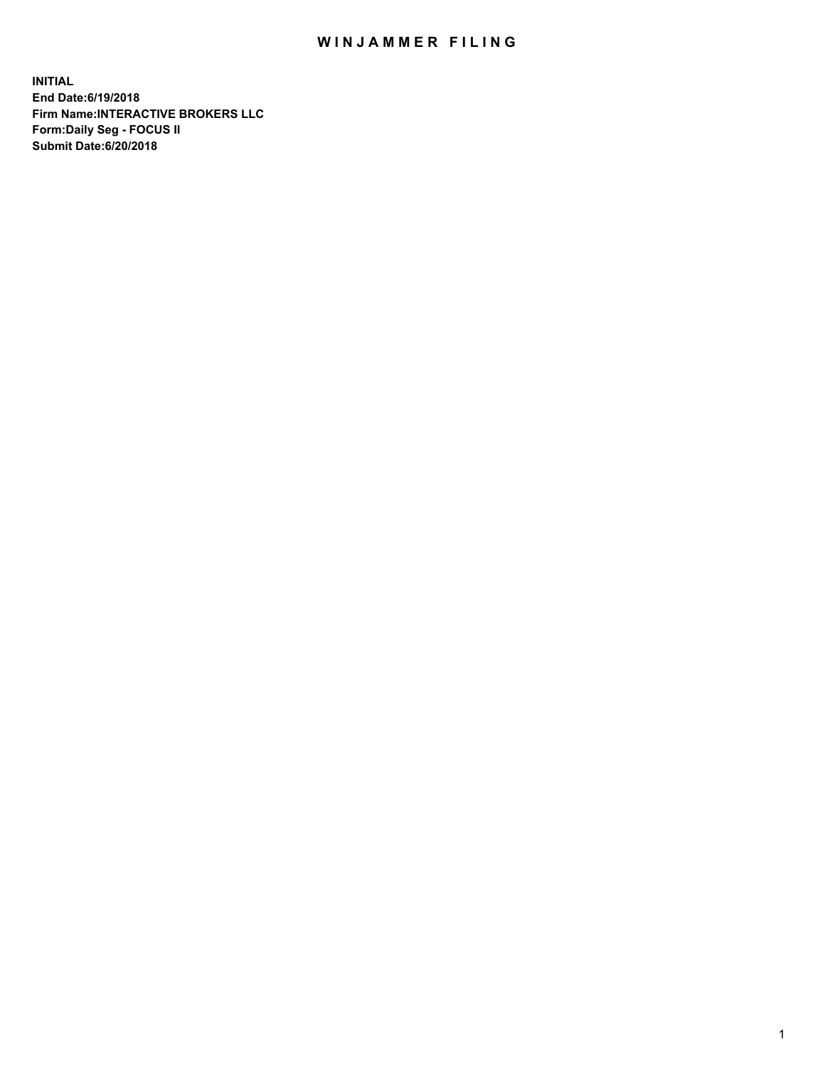## WIN JAMMER FILING

**INITIAL End Date:6/19/2018 Firm Name:INTERACTIVE BROKERS LLC Form:Daily Seg - FOCUS II Submit Date:6/20/2018**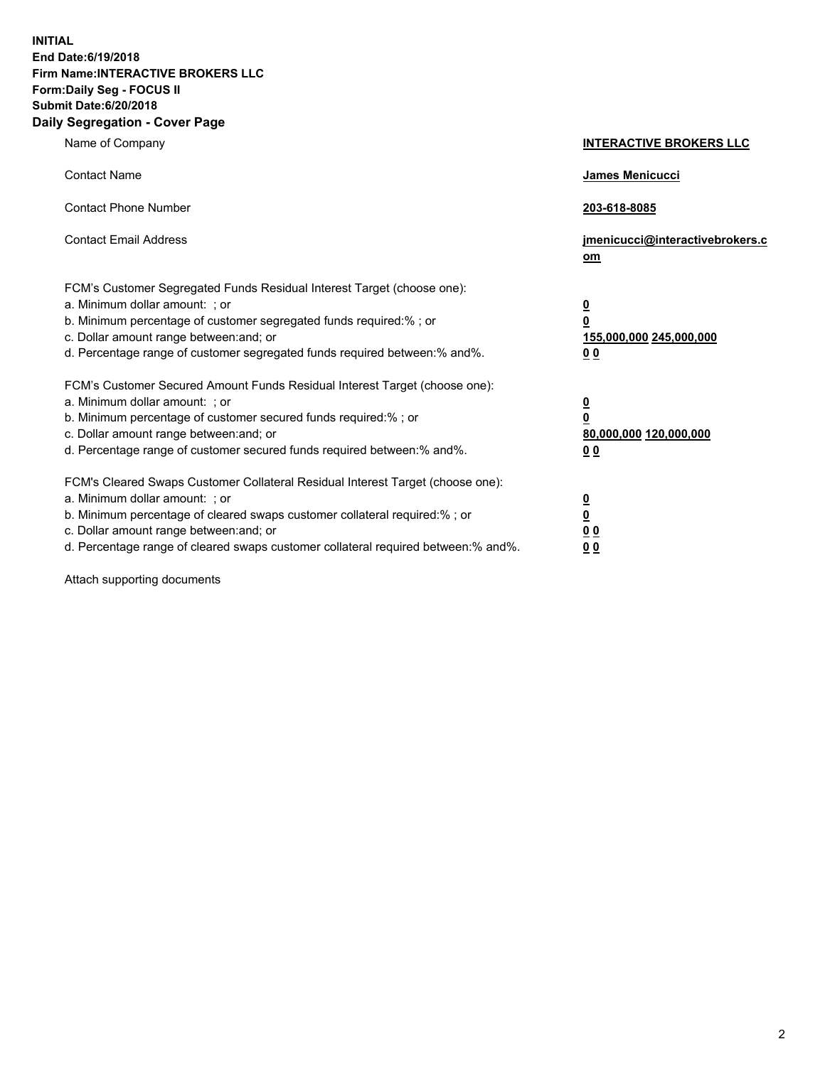**INITIAL End Date:6/19/2018 Firm Name:INTERACTIVE BROKERS LLC Form:Daily Seg - FOCUS II Submit Date:6/20/2018 Daily Segregation - Cover Page**

| Name of Company                                                                                                                                                                                                                                                                                                                | <b>INTERACTIVE BROKERS LLC</b>                                                   |
|--------------------------------------------------------------------------------------------------------------------------------------------------------------------------------------------------------------------------------------------------------------------------------------------------------------------------------|----------------------------------------------------------------------------------|
| <b>Contact Name</b>                                                                                                                                                                                                                                                                                                            | James Menicucci                                                                  |
| <b>Contact Phone Number</b>                                                                                                                                                                                                                                                                                                    | 203-618-8085                                                                     |
| <b>Contact Email Address</b>                                                                                                                                                                                                                                                                                                   | jmenicucci@interactivebrokers.c<br>om                                            |
| FCM's Customer Segregated Funds Residual Interest Target (choose one):<br>a. Minimum dollar amount: ; or<br>b. Minimum percentage of customer segregated funds required:% ; or<br>c. Dollar amount range between: and; or<br>d. Percentage range of customer segregated funds required between:% and%.                         | <u>0</u><br>$\overline{\mathbf{0}}$<br>155,000,000 245,000,000<br>0 <sub>0</sub> |
| FCM's Customer Secured Amount Funds Residual Interest Target (choose one):<br>a. Minimum dollar amount: ; or<br>b. Minimum percentage of customer secured funds required:% ; or<br>c. Dollar amount range between: and; or<br>d. Percentage range of customer secured funds required between:% and%.                           | <u>0</u><br>$\overline{\mathbf{0}}$<br>80,000,000 120,000,000<br>0 <sub>0</sub>  |
| FCM's Cleared Swaps Customer Collateral Residual Interest Target (choose one):<br>a. Minimum dollar amount: ; or<br>b. Minimum percentage of cleared swaps customer collateral required:% ; or<br>c. Dollar amount range between: and; or<br>d. Percentage range of cleared swaps customer collateral required between:% and%. | <u>0</u><br>$\underline{\mathbf{0}}$<br>0 <sub>0</sub><br>0 <sub>0</sub>         |

Attach supporting documents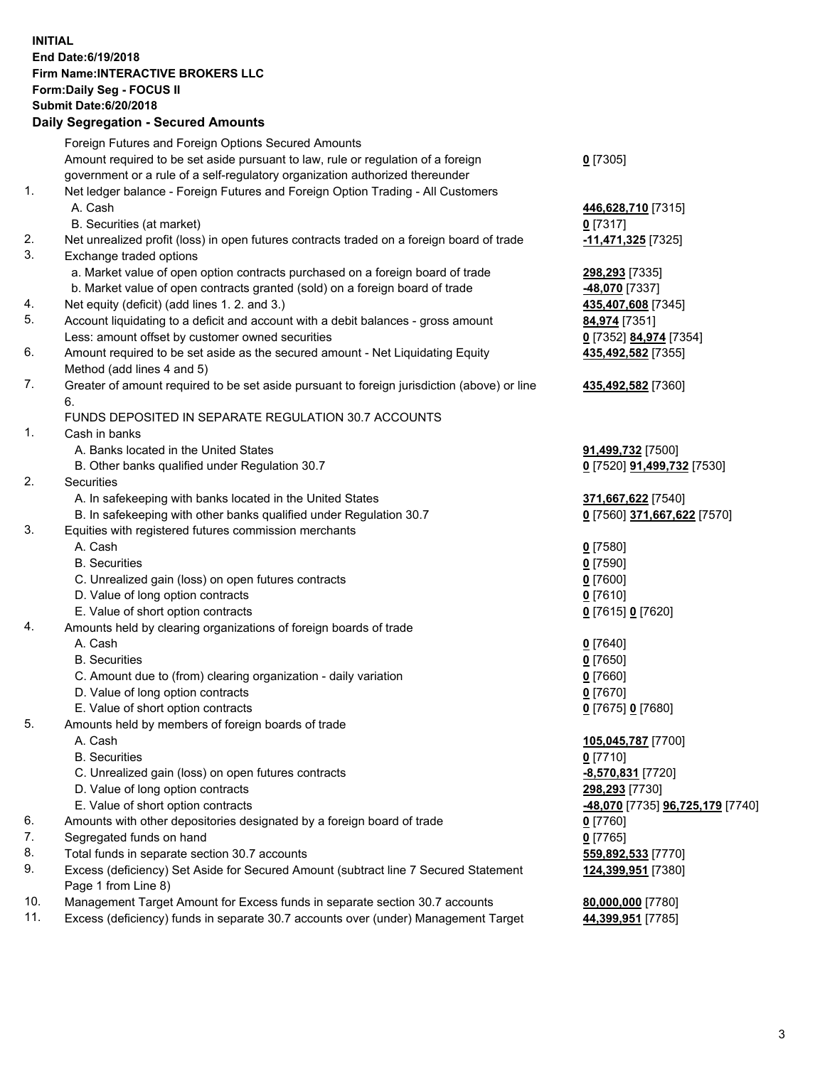## **INITIAL End Date:6/19/2018 Firm Name:INTERACTIVE BROKERS LLC Form:Daily Seg - FOCUS II Submit Date:6/20/2018 Daily Segregation - Secured Amounts**

| Foreign Futures and Foreign Options Secured Amounts                             |                                                                                                                                                                                                                                                                                                                                                                                                                                                                                                                                                                                                                                                                                                                                                                                                                                                                                                                                                                                                                                                                                                                                                                                                                                                                                                                                                                                                                                                                                                                                                                                                                                                                                                                                                                                                                                                                                                                                                                                                                                                                                                                                      |
|---------------------------------------------------------------------------------|--------------------------------------------------------------------------------------------------------------------------------------------------------------------------------------------------------------------------------------------------------------------------------------------------------------------------------------------------------------------------------------------------------------------------------------------------------------------------------------------------------------------------------------------------------------------------------------------------------------------------------------------------------------------------------------------------------------------------------------------------------------------------------------------------------------------------------------------------------------------------------------------------------------------------------------------------------------------------------------------------------------------------------------------------------------------------------------------------------------------------------------------------------------------------------------------------------------------------------------------------------------------------------------------------------------------------------------------------------------------------------------------------------------------------------------------------------------------------------------------------------------------------------------------------------------------------------------------------------------------------------------------------------------------------------------------------------------------------------------------------------------------------------------------------------------------------------------------------------------------------------------------------------------------------------------------------------------------------------------------------------------------------------------------------------------------------------------------------------------------------------------|
|                                                                                 | $0$ [7305]                                                                                                                                                                                                                                                                                                                                                                                                                                                                                                                                                                                                                                                                                                                                                                                                                                                                                                                                                                                                                                                                                                                                                                                                                                                                                                                                                                                                                                                                                                                                                                                                                                                                                                                                                                                                                                                                                                                                                                                                                                                                                                                           |
| government or a rule of a self-regulatory organization authorized thereunder    |                                                                                                                                                                                                                                                                                                                                                                                                                                                                                                                                                                                                                                                                                                                                                                                                                                                                                                                                                                                                                                                                                                                                                                                                                                                                                                                                                                                                                                                                                                                                                                                                                                                                                                                                                                                                                                                                                                                                                                                                                                                                                                                                      |
| Net ledger balance - Foreign Futures and Foreign Option Trading - All Customers |                                                                                                                                                                                                                                                                                                                                                                                                                                                                                                                                                                                                                                                                                                                                                                                                                                                                                                                                                                                                                                                                                                                                                                                                                                                                                                                                                                                                                                                                                                                                                                                                                                                                                                                                                                                                                                                                                                                                                                                                                                                                                                                                      |
| A. Cash                                                                         | 446,628,710 [7315]                                                                                                                                                                                                                                                                                                                                                                                                                                                                                                                                                                                                                                                                                                                                                                                                                                                                                                                                                                                                                                                                                                                                                                                                                                                                                                                                                                                                                                                                                                                                                                                                                                                                                                                                                                                                                                                                                                                                                                                                                                                                                                                   |
| B. Securities (at market)                                                       | 0 [7317]                                                                                                                                                                                                                                                                                                                                                                                                                                                                                                                                                                                                                                                                                                                                                                                                                                                                                                                                                                                                                                                                                                                                                                                                                                                                                                                                                                                                                                                                                                                                                                                                                                                                                                                                                                                                                                                                                                                                                                                                                                                                                                                             |
|                                                                                 | -11,471,325 [7325]                                                                                                                                                                                                                                                                                                                                                                                                                                                                                                                                                                                                                                                                                                                                                                                                                                                                                                                                                                                                                                                                                                                                                                                                                                                                                                                                                                                                                                                                                                                                                                                                                                                                                                                                                                                                                                                                                                                                                                                                                                                                                                                   |
| Exchange traded options                                                         |                                                                                                                                                                                                                                                                                                                                                                                                                                                                                                                                                                                                                                                                                                                                                                                                                                                                                                                                                                                                                                                                                                                                                                                                                                                                                                                                                                                                                                                                                                                                                                                                                                                                                                                                                                                                                                                                                                                                                                                                                                                                                                                                      |
|                                                                                 | 298,293 [7335]                                                                                                                                                                                                                                                                                                                                                                                                                                                                                                                                                                                                                                                                                                                                                                                                                                                                                                                                                                                                                                                                                                                                                                                                                                                                                                                                                                                                                                                                                                                                                                                                                                                                                                                                                                                                                                                                                                                                                                                                                                                                                                                       |
| b. Market value of open contracts granted (sold) on a foreign board of trade    | -48,070 [7337]                                                                                                                                                                                                                                                                                                                                                                                                                                                                                                                                                                                                                                                                                                                                                                                                                                                                                                                                                                                                                                                                                                                                                                                                                                                                                                                                                                                                                                                                                                                                                                                                                                                                                                                                                                                                                                                                                                                                                                                                                                                                                                                       |
|                                                                                 | 435,407,608 [7345]                                                                                                                                                                                                                                                                                                                                                                                                                                                                                                                                                                                                                                                                                                                                                                                                                                                                                                                                                                                                                                                                                                                                                                                                                                                                                                                                                                                                                                                                                                                                                                                                                                                                                                                                                                                                                                                                                                                                                                                                                                                                                                                   |
|                                                                                 | 84,974 [7351]                                                                                                                                                                                                                                                                                                                                                                                                                                                                                                                                                                                                                                                                                                                                                                                                                                                                                                                                                                                                                                                                                                                                                                                                                                                                                                                                                                                                                                                                                                                                                                                                                                                                                                                                                                                                                                                                                                                                                                                                                                                                                                                        |
|                                                                                 | 0 [7352] 84,974 [7354]                                                                                                                                                                                                                                                                                                                                                                                                                                                                                                                                                                                                                                                                                                                                                                                                                                                                                                                                                                                                                                                                                                                                                                                                                                                                                                                                                                                                                                                                                                                                                                                                                                                                                                                                                                                                                                                                                                                                                                                                                                                                                                               |
|                                                                                 | 435,492,582 [7355]                                                                                                                                                                                                                                                                                                                                                                                                                                                                                                                                                                                                                                                                                                                                                                                                                                                                                                                                                                                                                                                                                                                                                                                                                                                                                                                                                                                                                                                                                                                                                                                                                                                                                                                                                                                                                                                                                                                                                                                                                                                                                                                   |
|                                                                                 |                                                                                                                                                                                                                                                                                                                                                                                                                                                                                                                                                                                                                                                                                                                                                                                                                                                                                                                                                                                                                                                                                                                                                                                                                                                                                                                                                                                                                                                                                                                                                                                                                                                                                                                                                                                                                                                                                                                                                                                                                                                                                                                                      |
|                                                                                 | 435,492,582 [7360]                                                                                                                                                                                                                                                                                                                                                                                                                                                                                                                                                                                                                                                                                                                                                                                                                                                                                                                                                                                                                                                                                                                                                                                                                                                                                                                                                                                                                                                                                                                                                                                                                                                                                                                                                                                                                                                                                                                                                                                                                                                                                                                   |
| 6.                                                                              |                                                                                                                                                                                                                                                                                                                                                                                                                                                                                                                                                                                                                                                                                                                                                                                                                                                                                                                                                                                                                                                                                                                                                                                                                                                                                                                                                                                                                                                                                                                                                                                                                                                                                                                                                                                                                                                                                                                                                                                                                                                                                                                                      |
|                                                                                 |                                                                                                                                                                                                                                                                                                                                                                                                                                                                                                                                                                                                                                                                                                                                                                                                                                                                                                                                                                                                                                                                                                                                                                                                                                                                                                                                                                                                                                                                                                                                                                                                                                                                                                                                                                                                                                                                                                                                                                                                                                                                                                                                      |
| Cash in banks                                                                   |                                                                                                                                                                                                                                                                                                                                                                                                                                                                                                                                                                                                                                                                                                                                                                                                                                                                                                                                                                                                                                                                                                                                                                                                                                                                                                                                                                                                                                                                                                                                                                                                                                                                                                                                                                                                                                                                                                                                                                                                                                                                                                                                      |
|                                                                                 | 91,499,732 [7500]                                                                                                                                                                                                                                                                                                                                                                                                                                                                                                                                                                                                                                                                                                                                                                                                                                                                                                                                                                                                                                                                                                                                                                                                                                                                                                                                                                                                                                                                                                                                                                                                                                                                                                                                                                                                                                                                                                                                                                                                                                                                                                                    |
|                                                                                 | 0 [7520] 91,499,732 [7530]                                                                                                                                                                                                                                                                                                                                                                                                                                                                                                                                                                                                                                                                                                                                                                                                                                                                                                                                                                                                                                                                                                                                                                                                                                                                                                                                                                                                                                                                                                                                                                                                                                                                                                                                                                                                                                                                                                                                                                                                                                                                                                           |
|                                                                                 |                                                                                                                                                                                                                                                                                                                                                                                                                                                                                                                                                                                                                                                                                                                                                                                                                                                                                                                                                                                                                                                                                                                                                                                                                                                                                                                                                                                                                                                                                                                                                                                                                                                                                                                                                                                                                                                                                                                                                                                                                                                                                                                                      |
|                                                                                 | 371,667,622 [7540]                                                                                                                                                                                                                                                                                                                                                                                                                                                                                                                                                                                                                                                                                                                                                                                                                                                                                                                                                                                                                                                                                                                                                                                                                                                                                                                                                                                                                                                                                                                                                                                                                                                                                                                                                                                                                                                                                                                                                                                                                                                                                                                   |
|                                                                                 | 0 [7560] 371,667,622 [7570]                                                                                                                                                                                                                                                                                                                                                                                                                                                                                                                                                                                                                                                                                                                                                                                                                                                                                                                                                                                                                                                                                                                                                                                                                                                                                                                                                                                                                                                                                                                                                                                                                                                                                                                                                                                                                                                                                                                                                                                                                                                                                                          |
|                                                                                 |                                                                                                                                                                                                                                                                                                                                                                                                                                                                                                                                                                                                                                                                                                                                                                                                                                                                                                                                                                                                                                                                                                                                                                                                                                                                                                                                                                                                                                                                                                                                                                                                                                                                                                                                                                                                                                                                                                                                                                                                                                                                                                                                      |
|                                                                                 | $0$ [7580]                                                                                                                                                                                                                                                                                                                                                                                                                                                                                                                                                                                                                                                                                                                                                                                                                                                                                                                                                                                                                                                                                                                                                                                                                                                                                                                                                                                                                                                                                                                                                                                                                                                                                                                                                                                                                                                                                                                                                                                                                                                                                                                           |
|                                                                                 | $0$ [7590]                                                                                                                                                                                                                                                                                                                                                                                                                                                                                                                                                                                                                                                                                                                                                                                                                                                                                                                                                                                                                                                                                                                                                                                                                                                                                                                                                                                                                                                                                                                                                                                                                                                                                                                                                                                                                                                                                                                                                                                                                                                                                                                           |
|                                                                                 | $0$ [7600]                                                                                                                                                                                                                                                                                                                                                                                                                                                                                                                                                                                                                                                                                                                                                                                                                                                                                                                                                                                                                                                                                                                                                                                                                                                                                                                                                                                                                                                                                                                                                                                                                                                                                                                                                                                                                                                                                                                                                                                                                                                                                                                           |
|                                                                                 | $0$ [7610]                                                                                                                                                                                                                                                                                                                                                                                                                                                                                                                                                                                                                                                                                                                                                                                                                                                                                                                                                                                                                                                                                                                                                                                                                                                                                                                                                                                                                                                                                                                                                                                                                                                                                                                                                                                                                                                                                                                                                                                                                                                                                                                           |
|                                                                                 | 0 [7615] 0 [7620]                                                                                                                                                                                                                                                                                                                                                                                                                                                                                                                                                                                                                                                                                                                                                                                                                                                                                                                                                                                                                                                                                                                                                                                                                                                                                                                                                                                                                                                                                                                                                                                                                                                                                                                                                                                                                                                                                                                                                                                                                                                                                                                    |
|                                                                                 |                                                                                                                                                                                                                                                                                                                                                                                                                                                                                                                                                                                                                                                                                                                                                                                                                                                                                                                                                                                                                                                                                                                                                                                                                                                                                                                                                                                                                                                                                                                                                                                                                                                                                                                                                                                                                                                                                                                                                                                                                                                                                                                                      |
|                                                                                 | $0$ [7640]                                                                                                                                                                                                                                                                                                                                                                                                                                                                                                                                                                                                                                                                                                                                                                                                                                                                                                                                                                                                                                                                                                                                                                                                                                                                                                                                                                                                                                                                                                                                                                                                                                                                                                                                                                                                                                                                                                                                                                                                                                                                                                                           |
|                                                                                 | $0$ [7650]                                                                                                                                                                                                                                                                                                                                                                                                                                                                                                                                                                                                                                                                                                                                                                                                                                                                                                                                                                                                                                                                                                                                                                                                                                                                                                                                                                                                                                                                                                                                                                                                                                                                                                                                                                                                                                                                                                                                                                                                                                                                                                                           |
|                                                                                 | $0$ [7660]                                                                                                                                                                                                                                                                                                                                                                                                                                                                                                                                                                                                                                                                                                                                                                                                                                                                                                                                                                                                                                                                                                                                                                                                                                                                                                                                                                                                                                                                                                                                                                                                                                                                                                                                                                                                                                                                                                                                                                                                                                                                                                                           |
|                                                                                 | $0$ [7670]                                                                                                                                                                                                                                                                                                                                                                                                                                                                                                                                                                                                                                                                                                                                                                                                                                                                                                                                                                                                                                                                                                                                                                                                                                                                                                                                                                                                                                                                                                                                                                                                                                                                                                                                                                                                                                                                                                                                                                                                                                                                                                                           |
|                                                                                 | 0 [7675] 0 [7680]                                                                                                                                                                                                                                                                                                                                                                                                                                                                                                                                                                                                                                                                                                                                                                                                                                                                                                                                                                                                                                                                                                                                                                                                                                                                                                                                                                                                                                                                                                                                                                                                                                                                                                                                                                                                                                                                                                                                                                                                                                                                                                                    |
|                                                                                 |                                                                                                                                                                                                                                                                                                                                                                                                                                                                                                                                                                                                                                                                                                                                                                                                                                                                                                                                                                                                                                                                                                                                                                                                                                                                                                                                                                                                                                                                                                                                                                                                                                                                                                                                                                                                                                                                                                                                                                                                                                                                                                                                      |
|                                                                                 | 105,045,787 [7700]                                                                                                                                                                                                                                                                                                                                                                                                                                                                                                                                                                                                                                                                                                                                                                                                                                                                                                                                                                                                                                                                                                                                                                                                                                                                                                                                                                                                                                                                                                                                                                                                                                                                                                                                                                                                                                                                                                                                                                                                                                                                                                                   |
|                                                                                 | $0$ [7710]                                                                                                                                                                                                                                                                                                                                                                                                                                                                                                                                                                                                                                                                                                                                                                                                                                                                                                                                                                                                                                                                                                                                                                                                                                                                                                                                                                                                                                                                                                                                                                                                                                                                                                                                                                                                                                                                                                                                                                                                                                                                                                                           |
|                                                                                 | -8,570,831 [7720]                                                                                                                                                                                                                                                                                                                                                                                                                                                                                                                                                                                                                                                                                                                                                                                                                                                                                                                                                                                                                                                                                                                                                                                                                                                                                                                                                                                                                                                                                                                                                                                                                                                                                                                                                                                                                                                                                                                                                                                                                                                                                                                    |
|                                                                                 | 298,293 [7730]                                                                                                                                                                                                                                                                                                                                                                                                                                                                                                                                                                                                                                                                                                                                                                                                                                                                                                                                                                                                                                                                                                                                                                                                                                                                                                                                                                                                                                                                                                                                                                                                                                                                                                                                                                                                                                                                                                                                                                                                                                                                                                                       |
|                                                                                 | <mark>-48,070</mark> [7735] <u>96,725,179</u> [7740]                                                                                                                                                                                                                                                                                                                                                                                                                                                                                                                                                                                                                                                                                                                                                                                                                                                                                                                                                                                                                                                                                                                                                                                                                                                                                                                                                                                                                                                                                                                                                                                                                                                                                                                                                                                                                                                                                                                                                                                                                                                                                 |
|                                                                                 | 0 [7760]                                                                                                                                                                                                                                                                                                                                                                                                                                                                                                                                                                                                                                                                                                                                                                                                                                                                                                                                                                                                                                                                                                                                                                                                                                                                                                                                                                                                                                                                                                                                                                                                                                                                                                                                                                                                                                                                                                                                                                                                                                                                                                                             |
|                                                                                 | $0$ [7765]                                                                                                                                                                                                                                                                                                                                                                                                                                                                                                                                                                                                                                                                                                                                                                                                                                                                                                                                                                                                                                                                                                                                                                                                                                                                                                                                                                                                                                                                                                                                                                                                                                                                                                                                                                                                                                                                                                                                                                                                                                                                                                                           |
|                                                                                 | 559,892,533 [7770]                                                                                                                                                                                                                                                                                                                                                                                                                                                                                                                                                                                                                                                                                                                                                                                                                                                                                                                                                                                                                                                                                                                                                                                                                                                                                                                                                                                                                                                                                                                                                                                                                                                                                                                                                                                                                                                                                                                                                                                                                                                                                                                   |
|                                                                                 | 124,399,951 [7380]                                                                                                                                                                                                                                                                                                                                                                                                                                                                                                                                                                                                                                                                                                                                                                                                                                                                                                                                                                                                                                                                                                                                                                                                                                                                                                                                                                                                                                                                                                                                                                                                                                                                                                                                                                                                                                                                                                                                                                                                                                                                                                                   |
|                                                                                 |                                                                                                                                                                                                                                                                                                                                                                                                                                                                                                                                                                                                                                                                                                                                                                                                                                                                                                                                                                                                                                                                                                                                                                                                                                                                                                                                                                                                                                                                                                                                                                                                                                                                                                                                                                                                                                                                                                                                                                                                                                                                                                                                      |
|                                                                                 | 80,000,000 [7780]                                                                                                                                                                                                                                                                                                                                                                                                                                                                                                                                                                                                                                                                                                                                                                                                                                                                                                                                                                                                                                                                                                                                                                                                                                                                                                                                                                                                                                                                                                                                                                                                                                                                                                                                                                                                                                                                                                                                                                                                                                                                                                                    |
|                                                                                 | 44,399,951 [7785]                                                                                                                                                                                                                                                                                                                                                                                                                                                                                                                                                                                                                                                                                                                                                                                                                                                                                                                                                                                                                                                                                                                                                                                                                                                                                                                                                                                                                                                                                                                                                                                                                                                                                                                                                                                                                                                                                                                                                                                                                                                                                                                    |
|                                                                                 | Amount required to be set aside pursuant to law, rule or regulation of a foreign<br>Net unrealized profit (loss) in open futures contracts traded on a foreign board of trade<br>a. Market value of open option contracts purchased on a foreign board of trade<br>Net equity (deficit) (add lines 1.2. and 3.)<br>Account liquidating to a deficit and account with a debit balances - gross amount<br>Less: amount offset by customer owned securities<br>Amount required to be set aside as the secured amount - Net Liquidating Equity<br>Method (add lines 4 and 5)<br>Greater of amount required to be set aside pursuant to foreign jurisdiction (above) or line<br>FUNDS DEPOSITED IN SEPARATE REGULATION 30.7 ACCOUNTS<br>A. Banks located in the United States<br>B. Other banks qualified under Regulation 30.7<br>Securities<br>A. In safekeeping with banks located in the United States<br>B. In safekeeping with other banks qualified under Regulation 30.7<br>Equities with registered futures commission merchants<br>A. Cash<br><b>B.</b> Securities<br>C. Unrealized gain (loss) on open futures contracts<br>D. Value of long option contracts<br>E. Value of short option contracts<br>Amounts held by clearing organizations of foreign boards of trade<br>A. Cash<br><b>B.</b> Securities<br>C. Amount due to (from) clearing organization - daily variation<br>D. Value of long option contracts<br>E. Value of short option contracts<br>Amounts held by members of foreign boards of trade<br>A. Cash<br><b>B.</b> Securities<br>C. Unrealized gain (loss) on open futures contracts<br>D. Value of long option contracts<br>E. Value of short option contracts<br>Amounts with other depositories designated by a foreign board of trade<br>Segregated funds on hand<br>Total funds in separate section 30.7 accounts<br>Excess (deficiency) Set Aside for Secured Amount (subtract line 7 Secured Statement<br>Page 1 from Line 8)<br>Management Target Amount for Excess funds in separate section 30.7 accounts<br>Excess (deficiency) funds in separate 30.7 accounts over (under) Management Target |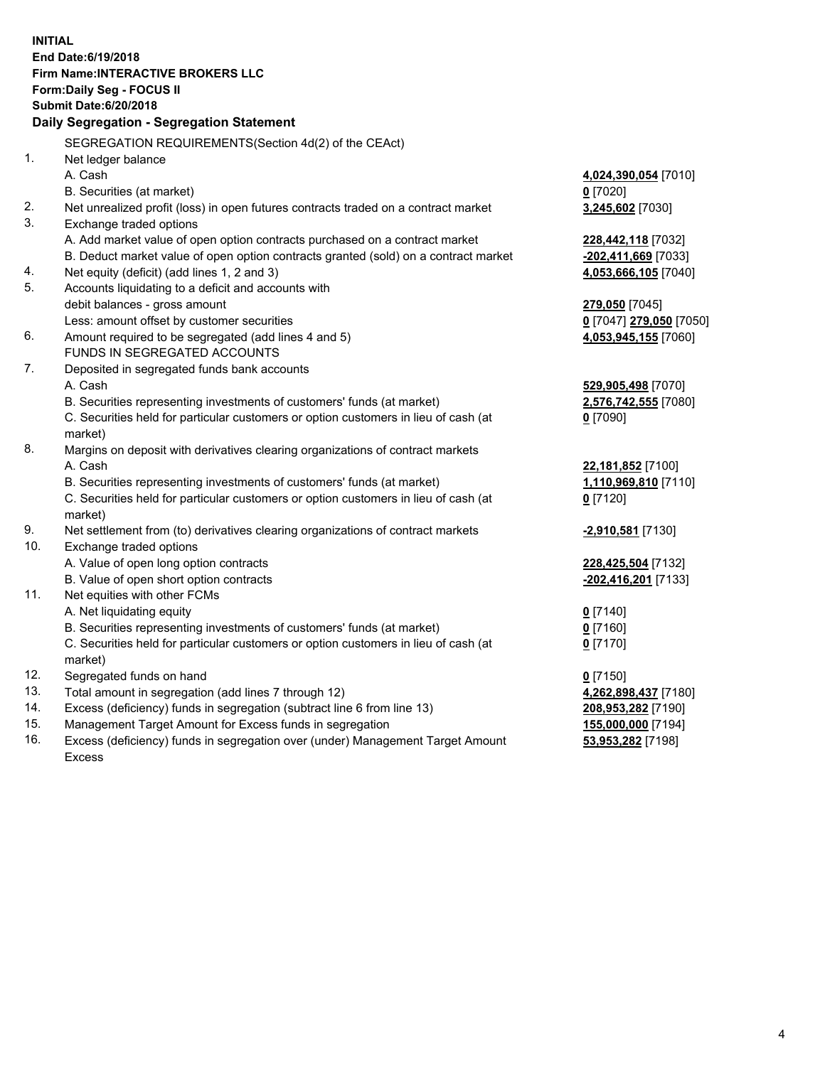**INITIAL End Date:6/19/2018 Firm Name:INTERACTIVE BROKERS LLC Form:Daily Seg - FOCUS II Submit Date:6/20/2018 Daily Segregation - Segregation Statement** SEGREGATION REQUIREMENTS(Section 4d(2) of the CEAct) 1. Net ledger balance A. Cash **4,024,390,054** [7010] B. Securities (at market) **0** [7020] 2. Net unrealized profit (loss) in open futures contracts traded on a contract market **3,245,602** [7030] 3. Exchange traded options A. Add market value of open option contracts purchased on a contract market **228,442,118** [7032] B. Deduct market value of open option contracts granted (sold) on a contract market **-202,411,669** [7033] 4. Net equity (deficit) (add lines 1, 2 and 3) **4,053,666,105** [7040] 5. Accounts liquidating to a deficit and accounts with debit balances - gross amount **279,050** [7045] Less: amount offset by customer securities **0** [7047] **279,050** [7050] 6. Amount required to be segregated (add lines 4 and 5) **4,053,945,155** [7060] FUNDS IN SEGREGATED ACCOUNTS 7. Deposited in segregated funds bank accounts A. Cash **529,905,498** [7070] B. Securities representing investments of customers' funds (at market) **2,576,742,555** [7080] C. Securities held for particular customers or option customers in lieu of cash (at market) **0** [7090] 8. Margins on deposit with derivatives clearing organizations of contract markets A. Cash **22,181,852** [7100] B. Securities representing investments of customers' funds (at market) **1,110,969,810** [7110] C. Securities held for particular customers or option customers in lieu of cash (at market) **0** [7120] 9. Net settlement from (to) derivatives clearing organizations of contract markets **-2,910,581** [7130] 10. Exchange traded options A. Value of open long option contracts **228,425,504** [7132] B. Value of open short option contracts **-202,416,201** [7133] 11. Net equities with other FCMs A. Net liquidating equity **0** [7140] B. Securities representing investments of customers' funds (at market) **0** [7160] C. Securities held for particular customers or option customers in lieu of cash (at market) **0** [7170] 12. Segregated funds on hand **0** [7150] 13. Total amount in segregation (add lines 7 through 12) **4,262,898,437** [7180] 14. Excess (deficiency) funds in segregation (subtract line 6 from line 13) **208,953,282** [7190] 15. Management Target Amount for Excess funds in segregation **155,000,000** [7194]

16. Excess (deficiency) funds in segregation over (under) Management Target Amount Excess

**53,953,282** [7198]